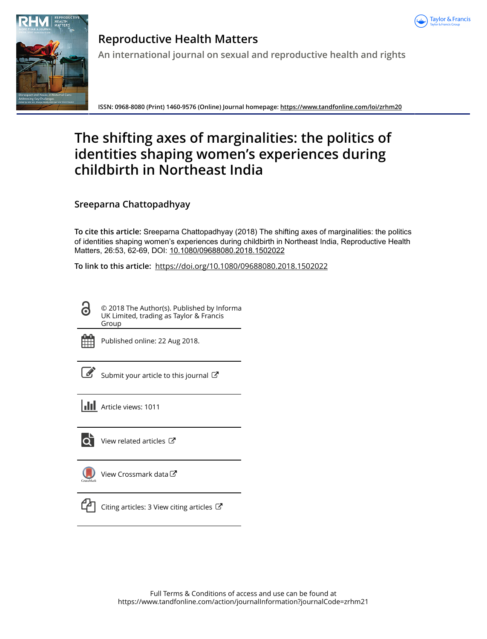



**Reproductive Health Matters An international journal on sexual and reproductive health and rights**

**ISSN: 0968-8080 (Print) 1460-9576 (Online) Journal homepage:<https://www.tandfonline.com/loi/zrhm20>**

# **The shifting axes of marginalities: the politics of identities shaping women's experiences during childbirth in Northeast India**

**Sreeparna Chattopadhyay**

**To cite this article:** Sreeparna Chattopadhyay (2018) The shifting axes of marginalities: the politics of identities shaping women's experiences during childbirth in Northeast India, Reproductive Health Matters, 26:53, 62-69, DOI: [10.1080/09688080.2018.1502022](https://www.tandfonline.com/action/showCitFormats?doi=10.1080/09688080.2018.1502022)

**To link to this article:** <https://doi.org/10.1080/09688080.2018.1502022>

© 2018 The Author(s). Published by Informa UK Limited, trading as Taylor & Francis Group



Published online: 22 Aug 2018.

[Submit your article to this journal](https://www.tandfonline.com/action/authorSubmission?journalCode=zrhm21&show=instructions)  $\mathbb{Z}$ 

**III** Article views: 1011



 $\bullet$  [View related articles](https://www.tandfonline.com/doi/mlt/10.1080/09688080.2018.1502022)  $\sigma$ 

[View Crossmark data](http://crossmark.crossref.org/dialog/?doi=10.1080/09688080.2018.1502022&domain=pdf&date_stamp=2018-08-22)



 $\Box$  [Citing articles: 3 View citing articles](https://www.tandfonline.com/doi/citedby/10.1080/09688080.2018.1502022#tabModule)  $\Box$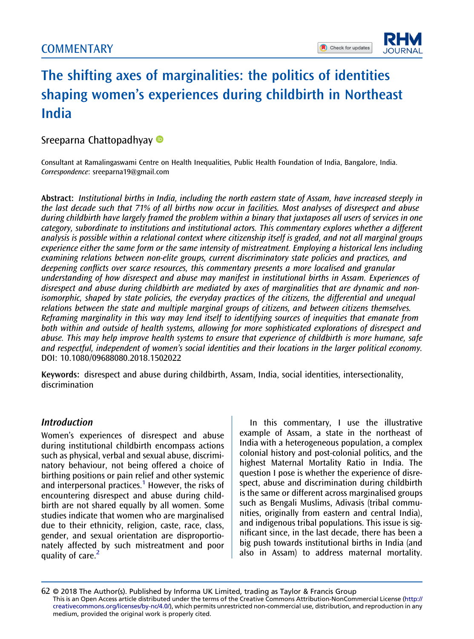

# <span id="page-1-0"></span>The shifting axes of marginalities: the politics of identities shaping women's experiences during childbirth in Northeast India

# Sreeparna Chattopadhyay <sup>®</sup>

Consultant at Ramalingaswami Centre on Health Inequalities, Public Health Foundation of India, Bangalore, India. Correspondence: [sreeparna19@gmail.com](mailto:sreeparna19@gmail.com)

Abstract: Institutional births in India, including the north eastern state of Assam, have increased steeply in the last decade such that 71% of all births now occur in facilities. Most analyses of disrespect and abuse during childbirth have largely framed the problem within a binary that juxtaposes all users of services in one category, subordinate to institutions and institutional actors. This commentary explores whether a different analysis is possible within a relational context where citizenship itself is graded, and not all marginal groups experience either the same form or the same intensity of mistreatment. Employing a historical lens including examining relations between non-elite groups, current discriminatory state policies and practices, and deepening conflicts over scarce resources, this commentary presents a more localised and granular understanding of how disrespect and abuse may manifest in institutional births in Assam. Experiences of disrespect and abuse during childbirth are mediated by axes of marginalities that are dynamic and nonisomorphic, shaped by state policies, the everyday practices of the citizens, the differential and unequal relations between the state and multiple marginal groups of citizens, and between citizens themselves. Reframing marginality in this way may lend itself to identifying sources of inequities that emanate from both within and outside of health systems, allowing for more sophisticated explorations of disrespect and abuse. This may help improve health systems to ensure that experience of childbirth is more humane, safe and respectful, independent of women's social identities and their locations in the larger political economy. DOI: 10.1080/09688080.2018.1502022

Keywords: disrespect and abuse during childbirth, Assam, India, social identities, intersectionality, discrimination

## **Introduction**

Women's experiences of disrespect and abuse during institutional childbirth encompass actions such as physical, verbal and sexual abuse, discriminatory behaviour, not being offered a choice of birthing positions or pain relief and other systemic and interpersonal practices.<sup>[1](#page-6-0)</sup> However, the risks of encountering disrespect and abuse during childbirth are not shared equally by all women. Some studies indicate that women who are marginalised due to their ethnicity, religion, caste, race, class, gender, and sexual orientation are disproportionately affected by such mistreatment and poor quality of care.<sup>[2](#page-6-0)</sup>

In this commentary, I use the illustrative example of Assam, a state in the northeast of India with a heterogeneous population, a complex colonial history and post-colonial politics, and the highest Maternal Mortality Ratio in India. The question I pose is whether the experience of disrespect, abuse and discrimination during childbirth is the same or different across marginalised groups such as Bengali Muslims, Adivasis (tribal communities, originally from eastern and central India), and indigenous tribal populations. This issue is significant since, in the last decade, there has been a big push towards institutional births in India (and also in Assam) to address maternal mortality.

62 © 2018 The Author(s). Published by Informa UK Limited, trading as Taylor & Francis Group This is an Open Access article distributed under the terms of the Creative Commons Attribution-NonCommercial License [\(http://](http://creativecommons.org/licenses/by-nc/4.0/) [creativecommons.org/licenses/by-nc/4.0/\)](http://creativecommons.org/licenses/by-nc/4.0/), which permits unrestricted non-commercial use, distribution, and reproduction in any medium, provided the original work is properly cited.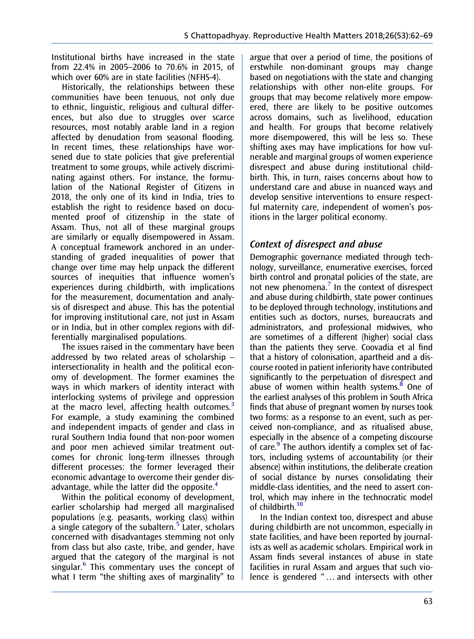<span id="page-2-0"></span>Institutional births have increased in the state from 22.4% in 2005–2006 to 70.6% in 2015, of which over 60% are in state facilities (NFHS-4).

Historically, the relationships between these communities have been tenuous, not only due to ethnic, linguistic, religious and cultural differences, but also due to struggles over scarce resources, most notably arable land in a region affected by denudation from seasonal flooding. In recent times, these relationships have worsened due to state policies that give preferential treatment to some groups, while actively discriminating against others. For instance, the formulation of the National Register of Citizens in 2018, the only one of its kind in India, tries to establish the right to residence based on documented proof of citizenship in the state of Assam. Thus, not all of these marginal groups are similarly or equally disempowered in Assam. A conceptual framework anchored in an understanding of graded inequalities of power that change over time may help unpack the different sources of inequities that influence women's experiences during childbirth, with implications for the measurement, documentation and analysis of disrespect and abuse. This has the potential for improving institutional care, not just in Assam or in India, but in other complex regions with differentially marginalised populations.

The issues raised in the commentary have been addressed by two related areas of scholarship – intersectionality in health and the political economy of development. The former examines the ways in which markers of identity interact with interlocking systems of privilege and oppression at the macro level, affecting health outcomes. $3$ For example, a study examining the combined and independent impacts of gender and class in rural Southern India found that non-poor women and poor men achieved similar treatment outcomes for chronic long-term illnesses through different processes: the former leveraged their economic advantage to overcome their gender dis-advantage, while the latter did the opposite.<sup>[4](#page-6-0)</sup>

Within the political economy of development, earlier scholarship had merged all marginalised populations (e.g. peasants, working class) within a single category of the subaltern.<sup>[5](#page-6-0)</sup> Later, scholars concerned with disadvantages stemming not only from class but also caste, tribe, and gender, have argued that the category of the marginal is not singular.<sup>[6](#page-6-0)</sup> This commentary uses the concept of what I term "the shifting axes of marginality" to argue that over a period of time, the positions of erstwhile non-dominant groups may change based on negotiations with the state and changing relationships with other non-elite groups. For groups that may become relatively more empowered, there are likely to be positive outcomes across domains, such as livelihood, education and health. For groups that become relatively more disempowered, this will be less so. These shifting axes may have implications for how vulnerable and marginal groups of women experience disrespect and abuse during institutional childbirth. This, in turn, raises concerns about how to understand care and abuse in nuanced ways and develop sensitive interventions to ensure respectful maternity care, independent of women's positions in the larger political economy.

# Context of disrespect and abuse

Demographic governance mediated through technology, surveillance, enumerative exercises, forced birth control and pronatal policies of the state, are not new phenomena.<sup>[7](#page-6-0)</sup> In the context of disrespect and abuse during childbirth, state power continues to be deployed through technology, institutions and entities such as doctors, nurses, bureaucrats and administrators, and professional midwives, who are sometimes of a different (higher) social class than the patients they serve. Coovadia et al find that a history of colonisation, apartheid and a discourse rooted in patient inferiority have contributed significantly to the perpetuation of disrespect and abuse of women within health systems.<sup>[8](#page-6-0)</sup> One of the earliest analyses of this problem in South Africa finds that abuse of pregnant women by nurses took two forms: as a response to an event, such as perceived non-compliance, and as ritualised abuse, especially in the absence of a competing discourse of care. $9$  The authors identify a complex set of factors, including systems of accountability (or their absence) within institutions, the deliberate creation of social distance by nurses consolidating their middle-class identities, and the need to assert control, which may inhere in the technocratic model of childbirth.<sup>10</sup>

In the Indian context too, disrespect and abuse during childbirth are not uncommon, especially in state facilities, and have been reported by journalists as well as academic scholars. Empirical work in Assam finds several instances of abuse in state facilities in rural Assam and argues that such violence is gendered " … and intersects with other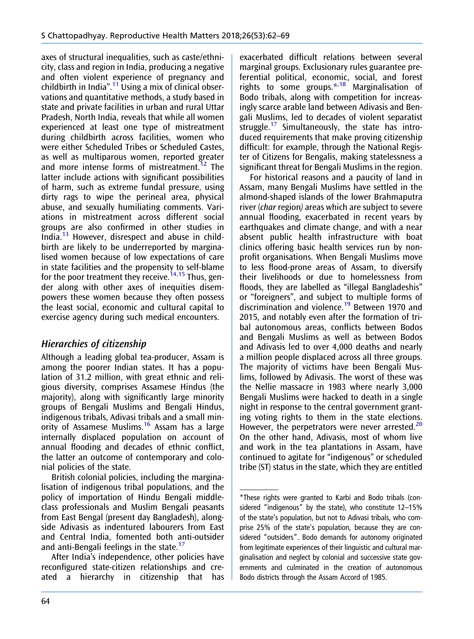<span id="page-3-0"></span>axes of structural inequalities, such as caste/ethnicity, class and region in India, producing a negative and often violent experience of pregnancy and childbirth in India". [11](#page-7-0) Using a mix of clinical observations and quantitative methods, a study based in state and private facilities in urban and rural Uttar Pradesh, North India, reveals that while all women experienced at least one type of mistreatment during childbirth across facilities, women who were either Scheduled Tribes or Scheduled Castes, as well as multiparous women, reported greater and more intense forms of mistreatment.<sup>[12](#page-7-0)</sup> The latter include actions with significant possibilities of harm, such as extreme fundal pressure, using dirty rags to wipe the perineal area, physical abuse, and sexually humiliating comments. Variations in mistreatment across different social groups are also confirmed in other studies in India. $^{13}$  $^{13}$  $^{13}$  However, disrespect and abuse in childbirth are likely to be underreported by marginalised women because of low expectations of care in state facilities and the propensity to self-blame for the poor treatment they receive.<sup>[14,15](#page-7-0)</sup> Thus, gender along with other axes of inequities disempowers these women because they often possess the least social, economic and cultural capital to exercise agency during such medical encounters.

# Hierarchies of citizenship

Although a leading global tea-producer, Assam is among the poorer Indian states. It has a population of 31.2 million, with great ethnic and religious diversity, comprises Assamese Hindus (the majority), along with significantly large minority groups of Bengali Muslims and Bengali Hindus, indigenous tribals, Adivasi tribals and a small minority of Assamese Muslims.[16](#page-7-0) Assam has a large internally displaced population on account of annual flooding and decades of ethnic conflict, the latter an outcome of contemporary and colonial policies of the state.

British colonial policies, including the marginalisation of indigenous tribal populations, and the policy of importation of Hindu Bengali middleclass professionals and Muslim Bengali peasants from East Bengal (present day Bangladesh), alongside Adivasis as indentured labourers from East and Central India, fomented both anti-outsider and anti-Bengali feelings in the state.<sup>[17](#page-7-0)</sup>

After India's independence, other policies have reconfigured state-citizen relationships and created a hierarchy in citizenship that has exacerbated difficult relations between several marginal groups. Exclusionary rules guarantee preferential political, economic, social, and forest rights to some groups. $*18$  Marginalisation of Bodo tribals, along with competition for increasingly scarce arable land between Adivasis and Bengali Muslims, led to decades of violent separatist struggle.<sup>[17](#page-7-0)</sup> Simultaneously, the state has introduced requirements that make proving citizenship difficult: for example, through the National Register of Citizens for Bengalis, making statelessness a significant threat for Bengali Muslims in the region.

For historical reasons and a paucity of land in Assam, many Bengali Muslims have settled in the almond-shaped islands of the lower Brahmaputra river (*char* region) areas which are subject to severe annual flooding, exacerbated in recent years by earthquakes and climate change, and with a near absent public health infrastructure with boat clinics offering basic health services run by nonprofit organisations. When Bengali Muslims move to less flood-prone areas of Assam, to diversify their livelihoods or due to homelessness from floods, they are labelled as "illegal Bangladeshis" or "foreigners", and subject to multiple forms of discrimination and violence.<sup>[19](#page-7-0)</sup> Between 1970 and 2015, and notably even after the formation of tribal autonomous areas, conflicts between Bodos and Bengali Muslims as well as between Bodos and Adivasis led to over 4,000 deaths and nearly a million people displaced across all three groups. The majority of victims have been Bengali Muslims, followed by Adivasis. The worst of these was the Nellie massacre in 1983 where nearly 3,000 Bengali Muslims were hacked to death in a single night in response to the central government granting voting rights to them in the state elections. However, the perpetrators were never arrested.<sup>[20](#page-7-0)</sup> On the other hand, Adivasis, most of whom live and work in the tea plantations in Assam, have continued to agitate for "indigenous" or scheduled tribe (ST) status in the state, which they are entitled

<sup>\*</sup>These rights were granted to Karbi and Bodo tribals (considered "indigenous" by the state), who constitute 12–15% of the state's population, but not to Adivasi tribals, who comprise 25% of the state's population, because they are considered "outsiders". Bodo demands for autonomy originated from legitimate experiences of their linguistic and cultural marginalisation and neglect by colonial and successive state governments and culminated in the creation of autonomous Bodo districts through the Assam Accord of 1985.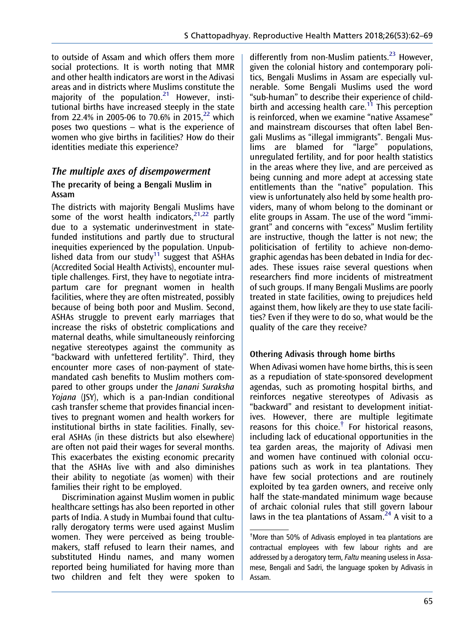<span id="page-4-0"></span>to outside of Assam and which offers them more social protections. It is worth noting that MMR and other health indicators are worst in the Adivasi areas and in districts where Muslims constitute the majority of the population.<sup>21</sup> However, institutional births have increased steeply in the state from [22](#page-7-0).4% in 2005-06 to 70.6% in 2015.<sup>22</sup> which poses two questions – what is the experience of women who give births in facilities? How do their identities mediate this experience?

# The multiple axes of disempowerment The precarity of being a Bengali Muslim in Assam

The districts with majority Bengali Muslims have some of the worst health indicators, $2^{1,22}$  partly due to a systematic underinvestment in statefunded institutions and partly due to structural inequities experienced by the population. Unpub-lished data from our study<sup>[11](#page-7-0)</sup> suggest that ASHAs (Accredited Social Health Activists), encounter multiple challenges. First, they have to negotiate intrapartum care for pregnant women in health facilities, where they are often mistreated, possibly because of being both poor and Muslim. Second, ASHAs struggle to prevent early marriages that increase the risks of obstetric complications and maternal deaths, while simultaneously reinforcing negative stereotypes against the community as "backward with unfettered fertility". Third, they encounter more cases of non-payment of statemandated cash benefits to Muslim mothers compared to other groups under the Janani Suraksha Yojana (JSY), which is a pan-Indian conditional cash transfer scheme that provides financial incentives to pregnant women and health workers for institutional births in state facilities. Finally, several ASHAs (in these districts but also elsewhere) are often not paid their wages for several months. This exacerbates the existing economic precarity that the ASHAs live with and also diminishes their ability to negotiate (as women) with their families their right to be employed.

Discrimination against Muslim women in public healthcare settings has also been reported in other parts of India. A study in Mumbai found that culturally derogatory terms were used against Muslim women. They were perceived as being troublemakers, staff refused to learn their names, and substituted Hindu names, and many women reported being humiliated for having more than two children and felt they were spoken to differently from non-Muslim patients.<sup>23</sup> However, given the colonial history and contemporary politics, Bengali Muslims in Assam are especially vulnerable. Some Bengali Muslims used the word "sub-human" to describe their experience of child-birth and accessing health care.<sup>[11](#page-7-0)</sup> This perception is reinforced, when we examine "native Assamese" and mainstream discourses that often label Bengali Muslims as "illegal immigrants". Bengali Muslims are blamed for "large" populations, unregulated fertility, and for poor health statistics in the areas where they live, and are perceived as being cunning and more adept at accessing state entitlements than the "native" population. This view is unfortunately also held by some health providers, many of whom belong to the dominant or elite groups in Assam. The use of the word "immigrant" and concerns with "excess" Muslim fertility are instructive, though the latter is not new; the politicisation of fertility to achieve non-demographic agendas has been debated in India for decades. These issues raise several questions when researchers find more incidents of mistreatment of such groups. If many Bengali Muslims are poorly treated in state facilities, owing to prejudices held against them, how likely are they to use state facilities? Even if they were to do so, what would be the quality of the care they receive?

# Othering Adivasis through home births

When Adivasi women have home births, this is seen as a repudiation of state-sponsored development agendas, such as promoting hospital births, and reinforces negative stereotypes of Adivasis as "backward" and resistant to development initiatives. However, there are multiple legitimate reasons for this choice.† For historical reasons, including lack of educational opportunities in the tea garden areas, the majority of Adivasi men and women have continued with colonial occupations such as work in tea plantations. They have few social protections and are routinely exploited by tea garden owners, and receive only half the state-mandated minimum wage because of archaic colonial rules that still govern labour laws in the tea plantations of Assam.<sup>[24](#page-7-0)</sup> A visit to a

<sup>†</sup> More than 50% of Adivasis employed in tea plantations are contractual employees with few labour rights and are addressed by a derogatory term, Faltu meaning useless in Assamese, Bengali and Sadri, the language spoken by Adivasis in Assam.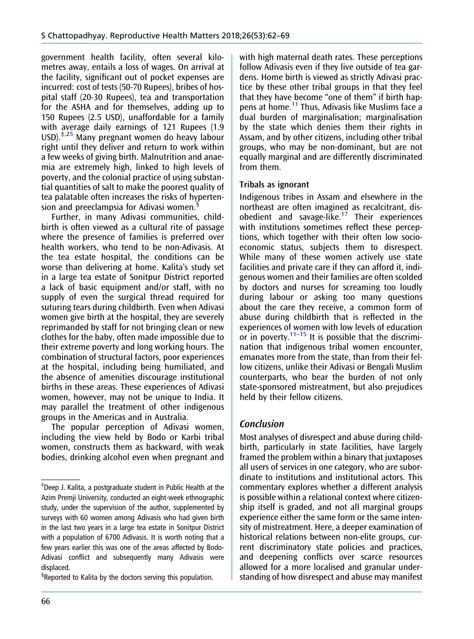government health facility, often several kilometres away, entails a loss of wages. On arrival at the facility, significant out of pocket expenses are incurred: cost of tests (50-70 Rupees), bribes of hospital staff (20-30 Rupees), tea and transportation for the ASHA and for themselves, adding up to 150 Rupees (2.5 USD), unaffordable for a family with average daily earnings of 121 Rupees (1.9 USD). $\frac{4,25}{ }$  $\frac{4,25}{ }$  $\frac{4,25}{ }$  Many pregnant women do heavy labour right until they deliver and return to work within a few weeks of giving birth. Malnutrition and anaemia are extremely high, linked to high levels of poverty, and the colonial practice of using substantial quantities of salt to make the poorest quality of tea palatable often increases the risks of hypertension and preeclampsia for Adivasi women.§

Further, in many Adivasi communities, childbirth is often viewed as a cultural rite of passage where the presence of families is preferred over health workers, who tend to be non-Adivasis. At the tea estate hospital, the conditions can be worse than delivering at home. Kalita's study set in a large tea estate of Sonitpur District reported a lack of basic equipment and/or staff, with no supply of even the surgical thread required for suturing tears during childbirth. Even when Adivasi women give birth at the hospital, they are severely reprimanded by staff for not bringing clean or new clothes for the baby, often made impossible due to their extreme poverty and long working hours. The combination of structural factors, poor experiences at the hospital, including being humiliated, and the absence of amenities discourage institutional births in these areas. These experiences of Adivasi women, however, may not be unique to India. It may parallel the treatment of other indigenous groups in the Americas and in Australia.

The popular perception of Adivasi women, including the view held by Bodo or Karbi tribal women, constructs them as backward, with weak bodies, drinking alcohol even when pregnant and

with high maternal death rates. These perceptions follow Adivasis even if they live outside of tea gardens. Home birth is viewed as strictly Adivasi practice by these other tribal groups in that they feel that they have become "one of them" if birth happens at home.[11](#page-7-0) Thus, Adivasis like Muslims face a dual burden of marginalisation; marginalisation by the state which denies them their rights in Assam, and by other citizens, including other tribal groups, who may be non-dominant, but are not equally marginal and are differently discriminated from them.

#### Tribals as ignorant

Indigenous tribes in Assam and elsewhere in the northeast are often imagined as recalcitrant, disobedient and savage-like[.17](#page-7-0) Their experiences with institutions sometimes reflect these perceptions, which together with their often low socioeconomic status, subjects them to disrespect. While many of these women actively use state facilities and private care if they can afford it, indigenous women and their families are often scolded by doctors and nurses for screaming too loudly during labour or asking too many questions about the care they receive, a common form of abuse during childbirth that is reflected in the experiences of women with low levels of education or in poverty. $11-15$  It is possible that the discrimination that indigenous tribal women encounter, emanates more from the state, than from their fellow citizens, unlike their Adivasi or Bengali Muslim counterparts, who bear the burden of not only state-sponsored mistreatment, but also prejudices held by their fellow citizens.

## Conclusion

Most analyses of disrespect and abuse during childbirth, particularly in state facilities, have largely framed the problem within a binary that juxtaposes all users of services in one category, who are subordinate to institutions and institutional actors. This commentary explores whether a different analysis is possible within a relational context where citizenship itself is graded, and not all marginal groups experience either the same form or the same intensity of mistreatment. Here, a deeper examination of historical relations between non-elite groups, current discriminatory state policies and practices, and deepening conflicts over scarce resources allowed for a more localised and granular understanding of how disrespect and abuse may manifest

<sup>‡</sup> Deep J. Kalita, a postgraduate student in Public Health at the Azim Premji University, conducted an eight-week ethnographic study, under the supervision of the author, supplemented by surveys with 60 women among Adivasis who had given birth in the last two years in a large tea estate in Sonitpur District with a population of 6700 Adivasis. It is worth noting that a few years earlier this was one of the areas affected by Bodo-Adivasi conflict and subsequently many Adivasis were displaced.

<sup>&</sup>lt;sup>§</sup>Reported to Kalita by the doctors serving this population.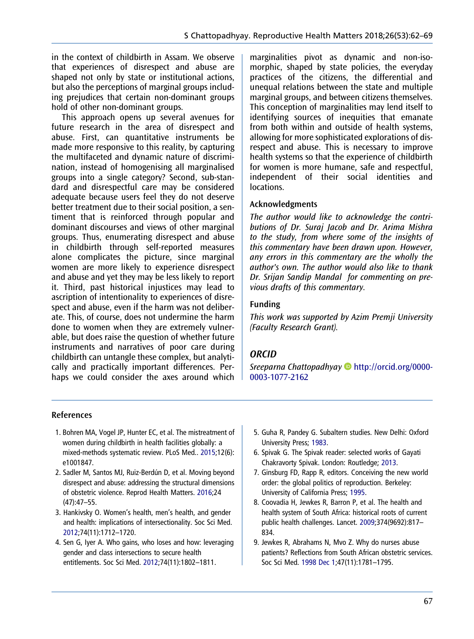<span id="page-6-0"></span>in the context of childbirth in Assam. We observe that experiences of disrespect and abuse are shaped not only by state or institutional actions, but also the perceptions of marginal groups including prejudices that certain non-dominant groups hold of other non-dominant groups.

This approach opens up several avenues for future research in the area of disrespect and abuse. First, can quantitative instruments be made more responsive to this reality, by capturing the multifaceted and dynamic nature of discrimination, instead of homogenising all marginalised groups into a single category? Second, sub-standard and disrespectful care may be considered adequate because users feel they do not deserve better treatment due to their social position, a sentiment that is reinforced through popular and dominant discourses and views of other marginal groups. Thus, enumerating disrespect and abuse in childbirth through self-reported measures alone complicates the picture, since marginal women are more likely to experience disrespect and abuse and yet they may be less likely to report it. Third, past historical injustices may lead to ascription of intentionality to experiences of disrespect and abuse, even if the harm was not deliberate. This, of course, does not undermine the harm done to women when they are extremely vulnerable, but does raise the question of whether future instruments and narratives of poor care during childbirth can untangle these complex, but analytically and practically important differences. Perhaps we could consider the axes around which marginalities pivot as dynamic and non-isomorphic, shaped by state policies, the everyday practices of the citizens, the differential and unequal relations between the state and multiple marginal groups, and between citizens themselves. This conception of marginalities may lend itself to identifying sources of inequities that emanate from both within and outside of health systems, allowing for more sophisticated explorations of disrespect and abuse. This is necessary to improve health systems so that the experience of childbirth for women is more humane, safe and respectful, independent of their social identities and locations.

#### Acknowledgments

The author would like to acknowledge the contributions of Dr. Suraj Jacob and Dr. Arima Mishra to the study, from where some of the insights of this commentary have been drawn upon. However, any errors in this commentary are the wholly the author's own. The author would also like to thank Dr. Srijan Sandip Mandal for commenting on previous drafts of this commentary.

## Funding

This work was supported by Azim Premji University (Faculty Research Grant).

# **ORCID**

Sreeparna Chattopadhyay **b** [http://orcid.org/0000-](http://orcid.org/0000-0003-1077-2162) [0003-1077-2162](http://orcid.org/0000-0003-1077-2162)

## References

- 1. Bohren MA, Vogel JP, Hunter EC, et al. The mistreatment of women during childbirth in health facilities globally: a mixed-methods systematic review. PLoS Med.. [2015](#page-1-0);12(6): e1001847.
- 2. Sadler M, Santos MJ, Ruiz-Berdún D, et al. Moving beyond disrespect and abuse: addressing the structural dimensions of obstetric violence. Reprod Health Matters. [2016](#page-1-0);24 (47):47–55.
- 3. Hankivsky O. Women's health, men's health, and gender and health: implications of intersectionality. Soc Sci Med. [2012;](#page-2-0)74(11):1712–1720.
- 4. Sen G, Iyer A. Who gains, who loses and how: leveraging gender and class intersections to secure health entitlements. Soc Sci Med. [2012](#page-2-0);74(11):1802–1811.
- 5. Guha R, Pandey G. Subaltern studies. New Delhi: Oxford University Press; [1983](#page-2-0).
- 6. Spivak G. The Spivak reader: selected works of Gayati Chakravorty Spivak. London: Routledge; [2013](#page-2-0).
- 7. Ginsburg FD, Rapp R, editors. Conceiving the new world order: the global politics of reproduction. Berkeley: University of California Press; [1995.](#page-2-0)
- 8. Coovadia H, Jewkes R, Barron P, et al. The health and health system of South Africa: historical roots of current public health challenges. Lancet. [2009](#page-2-0);374(9692):817– 834.
- 9. Jewkes R, Abrahams N, Mvo Z. Why do nurses abuse patients? Reflections from South African obstetric services. Soc Sci Med. [1998 Dec 1](#page-2-0);47(11):1781–1795.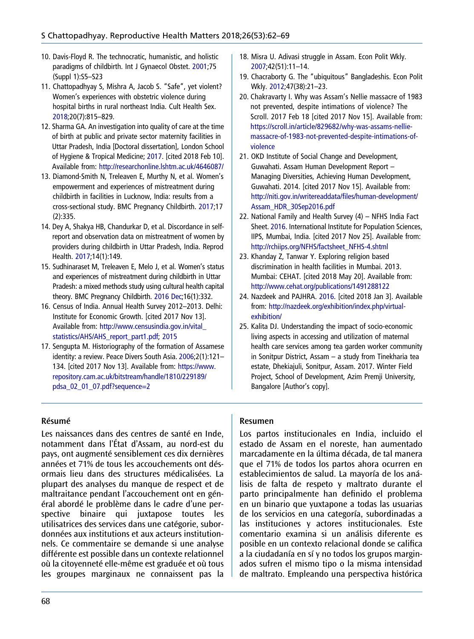- <span id="page-7-0"></span>10. Davis-Floyd R. The technocratic, humanistic, and holistic paradigms of childbirth. Int J Gynaecol Obstet. [2001](#page-2-0);75 (Suppl 1):S5–S23
- 11. Chattopadhyay S, Mishra A, Jacob S. "Safe", yet violent? Women's experiences with obstetric violence during hospital births in rural northeast India. Cult Health Sex. [2018](#page-3-0);20(7):815–829.
- 12. Sharma GA. An investigation into quality of care at the time of birth at public and private sector maternity facilities in Uttar Pradesh, India [Doctoral dissertation], London School of Hygiene & Tropical Medicine; [2017](#page-3-0). [cited 2018 Feb 10]. Available from: <http://researchonline.lshtm.ac.uk/4646087/>
- 13. Diamond-Smith N, Treleaven E, Murthy N, et al. Women's empowerment and experiences of mistreatment during childbirth in facilities in Lucknow, India: results from a cross-sectional study. BMC Pregnancy Childbirth. [2017](#page-3-0);17 (2):335.
- 14. Dey A, Shakya HB, Chandurkar D, et al. Discordance in selfreport and observation data on mistreatment of women by providers during childbirth in Uttar Pradesh, India. Reprod Health. [2017](#page-3-0);14(1):149.
- 15. Sudhinaraset M, Treleaven E, Melo J, et al. Women's status and experiences of mistreatment during childbirth in Uttar Pradesh: a mixed methods study using cultural health capital theory. BMC Pregnancy Childbirth. [2016 Dec;](#page-3-0)16(1):332.
- 16. Census of India. Annual Health Survey 2012–2013. Delhi: Institute for Economic Growth. [cited 2017 Nov 13]. Available from: [http://www.censusindia.gov.in/vital\\_](http://www.censusindia.gov.in/vital_statistics/AHS/AHS_report_part1.pdf) [statistics/AHS/AHS\\_report\\_part1.pdf](http://www.censusindia.gov.in/vital_statistics/AHS/AHS_report_part1.pdf); [2015](#page-3-0)
- 17. Sengupta M. Historiography of the formation of Assamese identity: a review. Peace Divers South Asia. [2006](#page-3-0);2(1):121– 134. [cited 2017 Nov 13]. Available from: [https://www.](https://www.repository.cam.ac.uk/bitstream/handle/1810/229189/pdsa_02_01_07.pdf?sequence=2) [repository.cam.ac.uk/bitstream/handle/1810/229189/](https://www.repository.cam.ac.uk/bitstream/handle/1810/229189/pdsa_02_01_07.pdf?sequence=2) [pdsa\\_02\\_01\\_07.pdf?sequence=2](https://www.repository.cam.ac.uk/bitstream/handle/1810/229189/pdsa_02_01_07.pdf?sequence=2)
- 18. Misra U. Adivasi struggle in Assam. Econ Polit Wkly. [2007;](#page-3-0)42(51):11–14.
- 19. Chacraborty G. The "ubiquitous" Bangladeshis. Econ Polit Wkly. [2012;](#page-3-0)47(38):21–23.
- 20. Chakravarty I. Why was Assam's Nellie massacre of 1983 not prevented, despite intimations of violence? The Scroll. 2017 Feb 18 [cited 2017 Nov 15]. Available from: [https://scroll.in/article/829682/why-was-assams-nellie](https://scroll.in/article/829682/why-was-assams-nellie-massacre-of-1983-not-prevented-despite-intimations-of-violence)[massacre-of-1983-not-prevented-despite-intimations-of](https://scroll.in/article/829682/why-was-assams-nellie-massacre-of-1983-not-prevented-despite-intimations-of-violence)[violence](https://scroll.in/article/829682/why-was-assams-nellie-massacre-of-1983-not-prevented-despite-intimations-of-violence)
- 21. OKD Institute of Social Change and Development, Guwahati. Assam Human Development Report – Managing Diversities, Achieving Human Development, Guwahati. 2014. [cited 2017 Nov 15]. Available from: [http://niti.gov.in/writereaddata/](http://niti.gov.in/writereaddata/files/human-development/Assam_HDR_30Sep2016.pdf)files/human-development/ [Assam\\_HDR\\_30Sep2016.pdf](http://niti.gov.in/writereaddata/files/human-development/Assam_HDR_30Sep2016.pdf)
- 22. National Family and Health Survey (4) NFHS India Fact Sheet. [2016](#page-4-0). International Institute for Population Sciences, IIPS, Mumbai, India. [cited 2017 Nov 25]. Available from: [http://rchiips.org/NFHS/factsheet\\_NFHS-4.shtml](http://rchiips.org/NFHS/factsheet_NFHS-4.shtml)
- 23. Khanday Z, Tanwar Y. Exploring religion based discrimination in health facilities in Mumbai. 2013. Mumbai: CEHAT. [cited 2018 May 20]. Available from: <http://www.cehat.org/publications/1491288122>
- 24. Nazdeek and PAJHRA. [2016.](#page-4-0) [cited 2018 Jan 3]. Available from: [http://nazdeek.org/exhibition/index.php/virtual](http://nazdeek.org/exhibition/index.php/virtual-exhibition/)[exhibition/](http://nazdeek.org/exhibition/index.php/virtual-exhibition/)
- 25. Kalita DJ. Understanding the impact of socio-economic living aspects in accessing and utilization of maternal health care services among tea garden worker community in Sonitpur District, Assam – a study from Tinekharia tea estate, Dhekiajuli, Sonitpur, Assam. 2017. Winter Field Project, School of Development, Azim Premji University, Bangalore [Author's copy].

#### Résumé

Les naissances dans des centres de santé en Inde, notamment dans l'État d'Assam, au nord-est du pays, ont augmenté sensiblement ces dix dernières années et 71% de tous les accouchements ont désormais lieu dans des structures médicalisées. La plupart des analyses du manque de respect et de maltraitance pendant l'accouchement ont en général abordé le problème dans le cadre d'une perspective binaire qui juxtapose toutes les utilisatrices des services dans une catégorie, subordonnées aux institutions et aux acteurs institutionnels. Ce commentaire se demande si une analyse différente est possible dans un contexte relationnel où la citoyenneté elle-même est graduée et où tous les groupes marginaux ne connaissent pas la

## Resumen

Los partos institucionales en India, incluido el estado de Assam en el noreste, han aumentado marcadamente en la última década, de tal manera que el 71% de todos los partos ahora ocurren en establecimientos de salud. La mayoría de los análisis de falta de respeto y maltrato durante el parto principalmente han definido el problema en un binario que yuxtapone a todas las usuarias de los servicios en una categoría, subordinadas a las instituciones y actores institucionales. Este comentario examina si un análisis diferente es posible en un contexto relacional donde se califica a la ciudadanía en sí y no todos los grupos marginados sufren el mismo tipo o la misma intensidad de maltrato. Empleando una perspectiva histórica